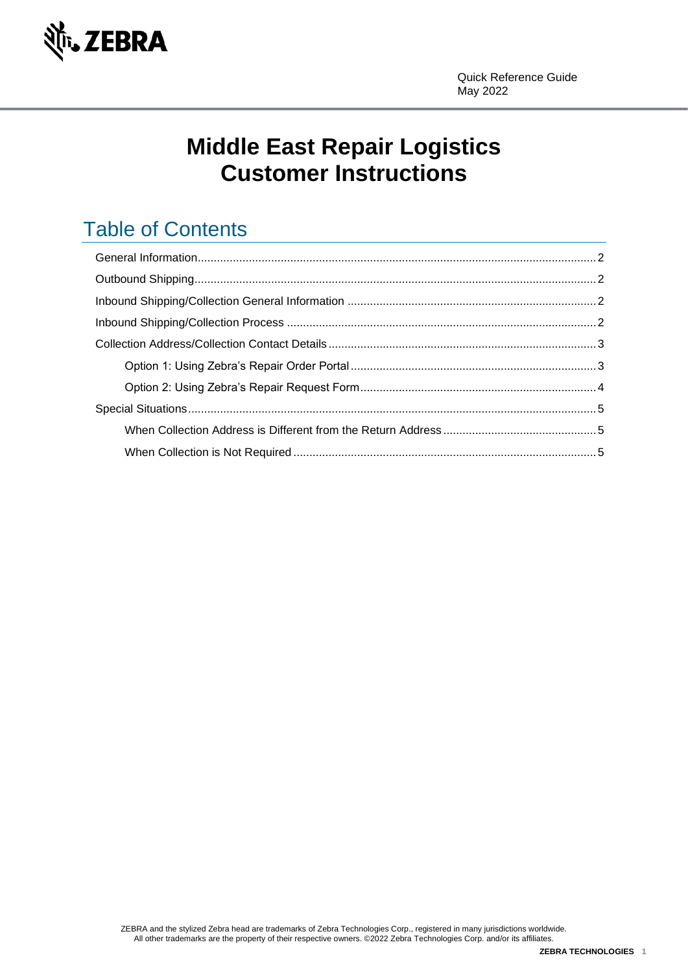

# **Middle East Repair Logistics Customer Instructions**

# Table of Contents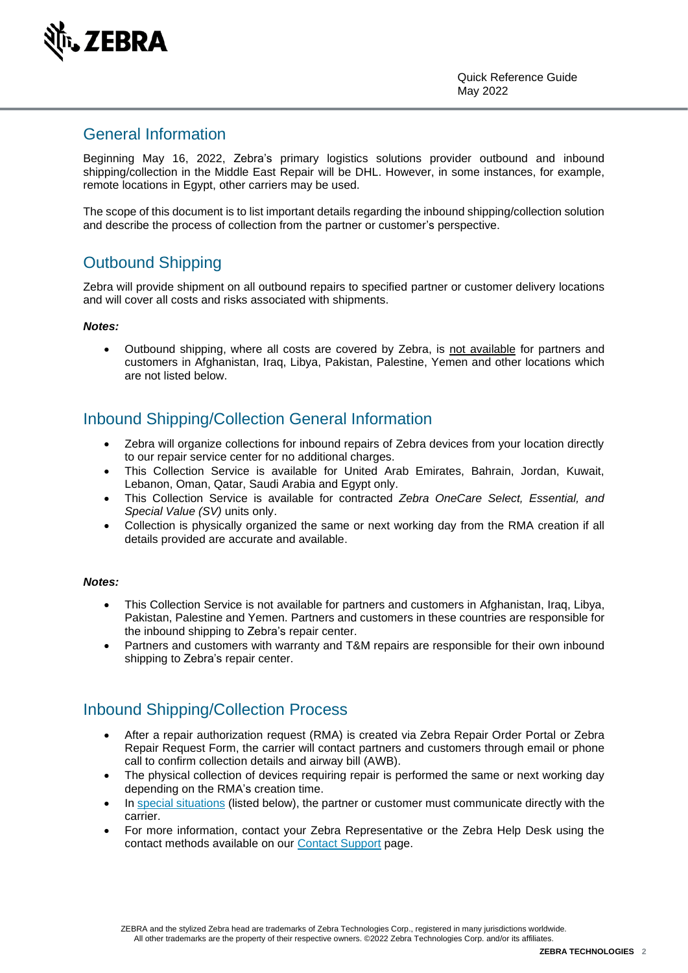

### <span id="page-1-0"></span>General Information

Beginning May 16, 2022, Zebra's primary logistics solutions provider outbound and inbound shipping/collection in the Middle East Repair will be DHL. However, in some instances, for example, remote locations in Egypt, other carriers may be used.

The scope of this document is to list important details regarding the inbound shipping/collection solution and describe the process of collection from the partner or customer's perspective.

## <span id="page-1-1"></span>Outbound Shipping

Zebra will provide shipment on all outbound repairs to specified partner or customer delivery locations and will cover all costs and risks associated with shipments.

#### *Notes:*

• Outbound shipping, where all costs are covered by Zebra, is not available for partners and customers in Afghanistan, Iraq, Libya, Pakistan, Palestine, Yemen and other locations which are not listed below.

## <span id="page-1-2"></span>Inbound Shipping/Collection General Information

- Zebra will organize collections for inbound repairs of Zebra devices from your location directly to our repair service center for no additional charges.
- This Collection Service is available for United Arab Emirates, Bahrain, Jordan, Kuwait, Lebanon, Oman, Qatar, Saudi Arabia and Egypt only.
- This Collection Service is available for contracted *Zebra OneCare Select, Essential, and Special Value (SV)* units only.
- Collection is physically organized the same or next working day from the RMA creation if all details provided are accurate and available.

#### *Notes:*

- This Collection Service is not available for partners and customers in Afghanistan, Iraq, Libya, Pakistan, Palestine and Yemen. Partners and customers in these countries are responsible for the inbound shipping to Zebra's repair center.
- Partners and customers with warranty and T&M repairs are responsible for their own inbound shipping to Zebra's repair center.

## <span id="page-1-3"></span>Inbound Shipping/Collection Process

- After a repair authorization request (RMA) is created via Zebra Repair Order Portal or Zebra Repair Request Form, the carrier will contact partners and customers through email or phone call to confirm collection details and airway bill (AWB).
- The physical collection of devices requiring repair is performed the same or next working day depending on the RMA's creation time.
- In [special situations](#page-4-0) (listed below), the partner or customer must communicate directly with the carrier.
- For more information, contact your Zebra Representative or the Zebra Help Desk using the contact methods available on our [Contact Support](https://www.zebra.com/gb/en/about-zebra/contact-zebra/contact-tech-support.html) page.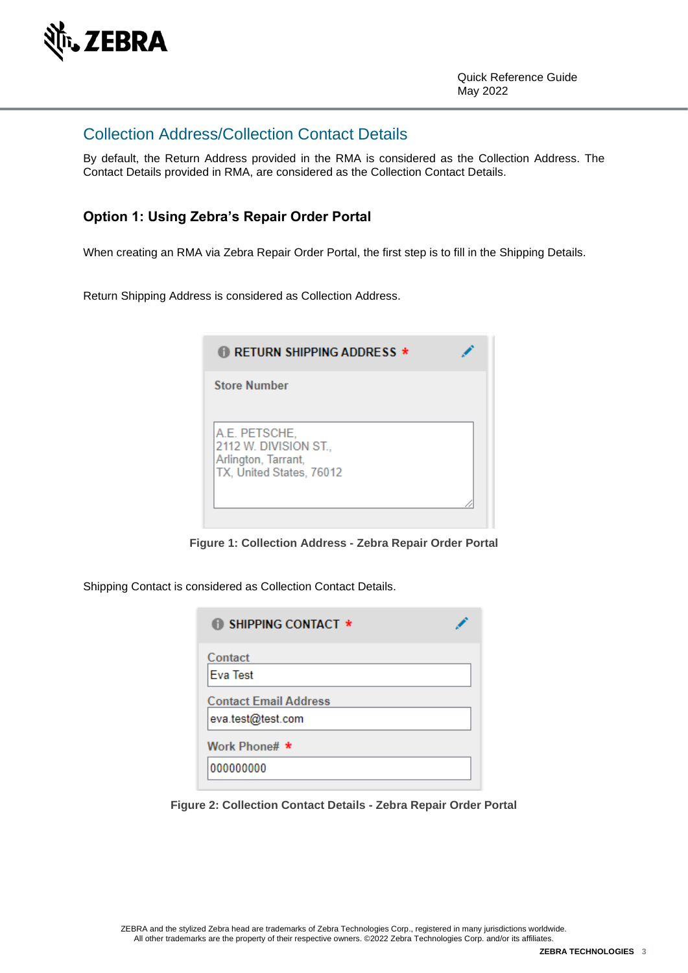

### <span id="page-2-0"></span>Collection Address/Collection Contact Details

By default, the Return Address provided in the RMA is considered as the Collection Address. The Contact Details provided in RMA, are considered as the Collection Contact Details.

#### <span id="page-2-1"></span>**Option 1: Using Zebra's Repair Order Portal**

When creating an RMA via Zebra Repair Order Portal, the first step is to fill in the Shipping Details.

Return Shipping Address is considered as Collection Address.

| ) RETURN SHIPPING ADDRESS $\star$                                                         |  |
|-------------------------------------------------------------------------------------------|--|
| <b>Store Number</b>                                                                       |  |
| A.E. PETSCHE,<br>2112 W. DIVISION ST.,<br>Arlington, Tarrant,<br>TX, United States, 76012 |  |

**Figure 1: Collection Address - Zebra Repair Order Portal**

Shipping Contact is considered as Collection Contact Details.

| <b>B</b> SHIPPING CONTACT *                       |  |
|---------------------------------------------------|--|
| Contact<br><b>Eva Test</b>                        |  |
| <b>Contact Email Address</b><br>eva.test@test.com |  |
| Work Phone# *                                     |  |
| 000000000                                         |  |

**Figure 2: Collection Contact Details - Zebra Repair Order Portal**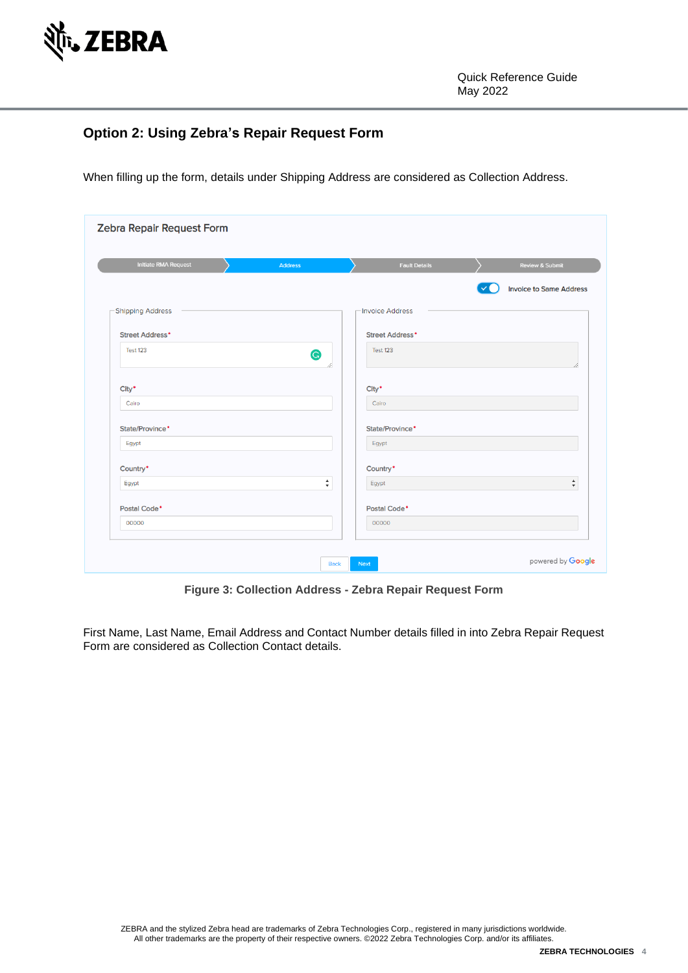

#### <span id="page-3-0"></span>**Option 2: Using Zebra's Repair Request Form**

When filling up the form, details under Shipping Address are considered as Collection Address.

| <b>Initiate RMA Request</b> | <b>Address</b>                                | <b>Fault Details</b>     | Review & Submit                               |  |
|-----------------------------|-----------------------------------------------|--------------------------|-----------------------------------------------|--|
|                             |                                               |                          | <b>Invoice to Same Address</b>                |  |
| -Shipping Address           |                                               | Invoice Address          |                                               |  |
| Street Address*             |                                               | <b>Street Address*</b>   |                                               |  |
| <b>Test 123</b>             | G                                             | Test 123                 |                                               |  |
| City*                       |                                               | City <sup>*</sup>        |                                               |  |
| Cairo                       |                                               | Cairo                    |                                               |  |
| State/Province*             |                                               | State/Province*          |                                               |  |
| Egypt                       |                                               | Egypt                    |                                               |  |
| Country*                    |                                               | Country*                 |                                               |  |
| Egypt                       | $\blacktriangle$<br>$\boldsymbol{\mathrm{v}}$ | Egypt                    | $\blacktriangle$<br>$\boldsymbol{\mathrm{v}}$ |  |
| Postal Code <sup>*</sup>    |                                               | Postal Code <sup>*</sup> |                                               |  |
| 00000                       |                                               | 00000                    |                                               |  |

**Figure 3: Collection Address - Zebra Repair Request Form**

First Name, Last Name, Email Address and Contact Number details filled in into Zebra Repair Request Form are considered as Collection Contact details.